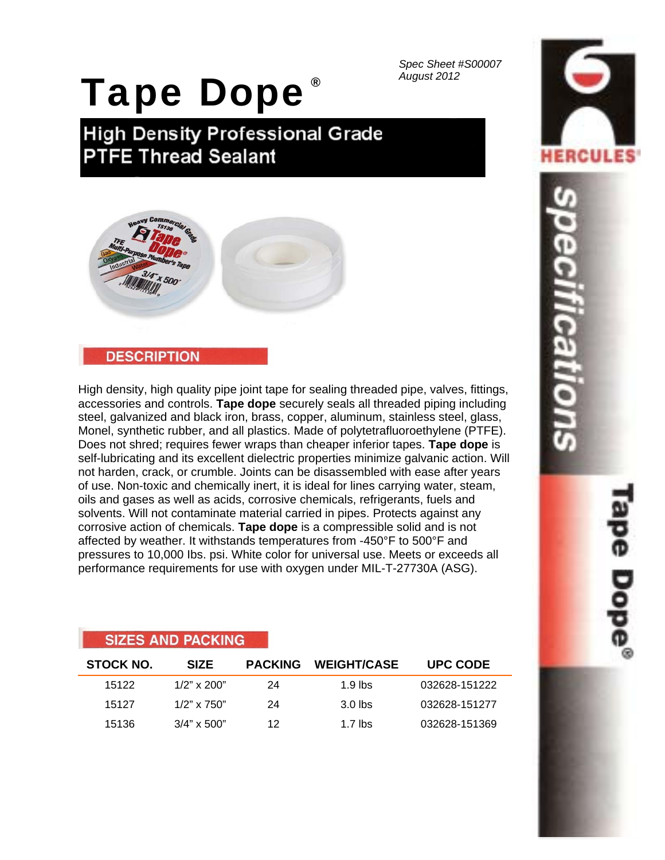*Spec Sheet #S00007 August 2012* ®

# Tape Dope

**High Density Professional Grade PTFE Thread Sealant** 



### **DESCRIPTION**

**CIZEC AND DACKING** 

High density, high quality pipe joint tape for sealing threaded pipe, valves, fittings, accessories and controls. **Tape dope** securely seals all threaded piping including steel, galvanized and black iron, brass, copper, aluminum, stainless steel, glass, Monel, synthetic rubber, and all plastics. Made of polytetrafluoroethylene (PTFE). Does not shred; requires fewer wraps than cheaper inferior tapes. **Tape dope** is self-lubricating and its excellent dielectric properties minimize galvanic action. Will not harden, crack, or crumble. Joints can be disassembled with ease after years of use. Non-toxic and chemically inert, it is ideal for lines carrying water, steam, oils and gases as well as acids, corrosive chemicals, refrigerants, fuels and solvents. Will not contaminate material carried in pipes. Protects against any corrosive action of chemicals. **Tape dope** is a compressible solid and is not affected by weather. It withstands temperatures from -450°F to 500°F and pressures to 10,000 Ibs. psi. White color for universal use. Meets or exceeds all performance requirements for use with oxygen under MIL-T-27730A (ASG).

|                  | <b>SILLS AND FAUNING</b> |                |                        |                 |
|------------------|--------------------------|----------------|------------------------|-----------------|
| <b>STOCK NO.</b> | <b>SIZE</b>              | <b>PACKING</b> | <b>WEIGHT/CASE</b>     | <b>UPC CODE</b> |
| 15122            | $1/2$ " x 200"           | 24             | 1.9 lbs                | 032628-151222   |
| 15127            | $1/2$ " x 750"           | 24             | $3.0$ lbs              | 032628-151277   |
| 15136            | $3/4" \times 500"$       | 12             | 1.7 $\overline{ }$ lbs | 032628-151369   |

# HERCUL FINON

Tape Dope